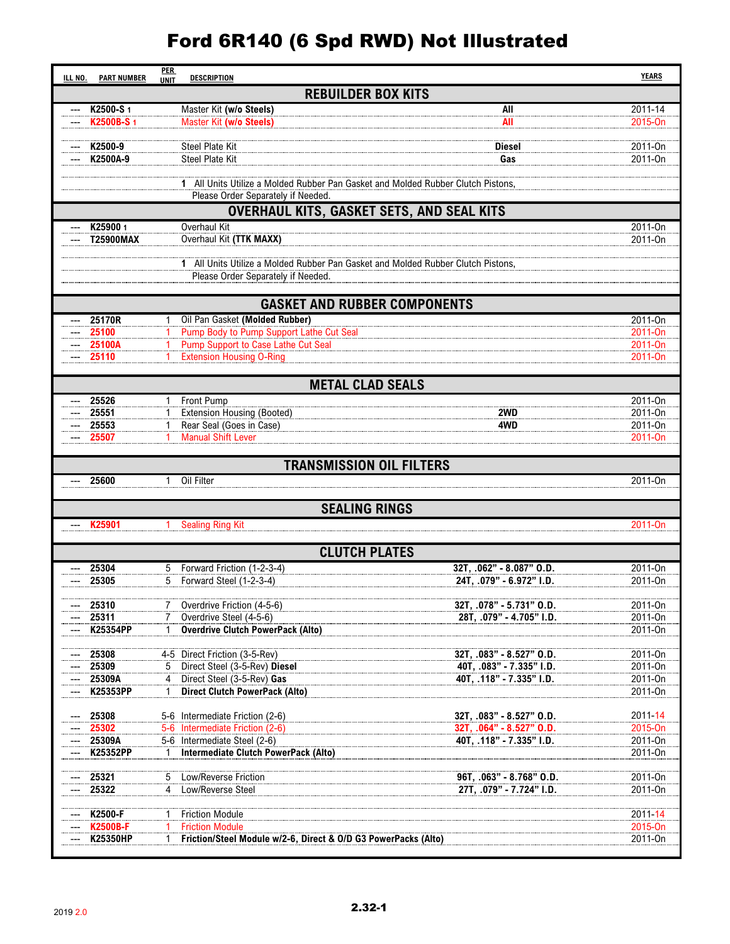## Ford 6R140 (6 Spd RWD) Not Illustrated

| ILL NO. | <b>PART NUMBER</b>                               | <b>PER</b><br><b>DESCRIPTION</b><br><b>UNIT</b>                                 |                                                                                  | <b>YEARS</b>        |  |  |  |  |  |
|---------|--------------------------------------------------|---------------------------------------------------------------------------------|----------------------------------------------------------------------------------|---------------------|--|--|--|--|--|
|         | <b>REBUILDER BOX KITS</b>                        |                                                                                 |                                                                                  |                     |  |  |  |  |  |
|         | K2500-S1                                         | Master Kit (w/o Steels)                                                         | All                                                                              | 2011-14             |  |  |  |  |  |
|         | K2500B-S 1                                       | Master Kit (w/o Steels)                                                         | All                                                                              | 2015-On             |  |  |  |  |  |
|         | K2500-9                                          | <b>Steel Plate Kit</b>                                                          | Diesel                                                                           | 2011-On             |  |  |  |  |  |
|         | K2500A-9                                         | Steel Plate Kit                                                                 | Gas                                                                              | 2011-On             |  |  |  |  |  |
|         |                                                  |                                                                                 |                                                                                  |                     |  |  |  |  |  |
|         |                                                  | Please Order Separately if Needed.                                              | 1 All Units Utilize a Molded Rubber Pan Gasket and Molded Rubber Clutch Pistons, |                     |  |  |  |  |  |
|         | <b>OVERHAUL KITS, GASKET SETS, AND SEAL KITS</b> |                                                                                 |                                                                                  |                     |  |  |  |  |  |
|         | K25900 1                                         | Overhaul Kit                                                                    |                                                                                  | 2011-On             |  |  |  |  |  |
|         | <b>T25900MAX</b>                                 | Overhaul Kit (TTK MAXX)                                                         |                                                                                  | 2011-0n             |  |  |  |  |  |
|         |                                                  |                                                                                 | 1 All Units Utilize a Molded Rubber Pan Gasket and Molded Rubber Clutch Pistons, |                     |  |  |  |  |  |
|         |                                                  | Please Order Separately if Needed.                                              |                                                                                  |                     |  |  |  |  |  |
|         |                                                  |                                                                                 |                                                                                  |                     |  |  |  |  |  |
|         |                                                  |                                                                                 | <b>GASKET AND RUBBER COMPONENTS</b>                                              |                     |  |  |  |  |  |
|         | 25170R                                           | Oil Pan Gasket (Molded Rubber)                                                  |                                                                                  | 2011-0n             |  |  |  |  |  |
|         | 25100<br>25100A                                  | Pump Body to Pump Support Lathe Cut Seal<br>Pump Support to Case Lathe Cut Seal |                                                                                  | 2011-On<br>2011-0n  |  |  |  |  |  |
|         | 25110                                            | <b>Extension Housing O-Ring</b>                                                 |                                                                                  | 2011-0 <sub>n</sub> |  |  |  |  |  |
|         |                                                  |                                                                                 |                                                                                  |                     |  |  |  |  |  |
|         |                                                  |                                                                                 | <b>METAL CLAD SEALS</b>                                                          |                     |  |  |  |  |  |
|         | 25526                                            | Front Pump                                                                      |                                                                                  | 2011-0n             |  |  |  |  |  |
|         | 25551<br>25553                                   | <b>Extension Housing (Booted)</b><br>Rear Seal (Goes in Case)                   | 2WD<br>4WD                                                                       | 2011-On<br>2011-0n  |  |  |  |  |  |
|         | 25507                                            | <b>Manual Shift Lever</b><br>1.                                                 |                                                                                  | 2011-On             |  |  |  |  |  |
|         |                                                  |                                                                                 |                                                                                  |                     |  |  |  |  |  |
|         |                                                  |                                                                                 | <b>TRANSMISSION OIL FILTERS</b>                                                  |                     |  |  |  |  |  |
|         | 25600                                            | Oil Filter<br>1                                                                 |                                                                                  | 2011-On             |  |  |  |  |  |
|         |                                                  |                                                                                 | <b>SEALING RINGS</b>                                                             |                     |  |  |  |  |  |
|         | K25901                                           | <b>Sealing Ring Kit</b>                                                         |                                                                                  | 2011-0n             |  |  |  |  |  |
|         |                                                  |                                                                                 |                                                                                  |                     |  |  |  |  |  |
|         |                                                  |                                                                                 | <b>CLUTCH PLATES</b>                                                             |                     |  |  |  |  |  |
|         | 25304<br>25305                                   | Forward Friction (1-2-3-4)<br>5<br>5<br>Forward Steel (1-2-3-4)                 | 32T, .062" - 8.087" O.D.<br>24T, .079" - 6.972" I.D.                             | 2011-On<br>2011-On  |  |  |  |  |  |
|         |                                                  |                                                                                 |                                                                                  |                     |  |  |  |  |  |
|         | 25310                                            | Overdrive Friction (4-5-6)                                                      | 32T, .078" - 5.731" O.D.                                                         | 2011-On             |  |  |  |  |  |
|         | 25311                                            | Overdrive Steel (4-5-6)                                                         | 28T. . 079" - 4.705" I.D.                                                        | 2011-0n             |  |  |  |  |  |
|         | K25354PP                                         | <b>Overdrive Clutch PowerPack (Alto)</b><br>1                                   |                                                                                  | 2011-On             |  |  |  |  |  |
|         | 25308                                            | 4-5 Direct Friction (3-5-Rev)                                                   | 32T, .083" - 8.527" O.D.                                                         | 2011-On             |  |  |  |  |  |
|         | 25309                                            | Direct Steel (3-5-Rev) Diesel<br>5                                              | 40T, .083" - 7.335" I.D.                                                         | 2011-On             |  |  |  |  |  |
|         | 25309A<br>K25353PP                               | Direct Steel (3-5-Rev) Gas<br><b>Direct Clutch PowerPack (Alto)</b>             | 40T, .118" - 7.335" I.D.                                                         | 2011-0n<br>2011-On  |  |  |  |  |  |
|         |                                                  |                                                                                 |                                                                                  |                     |  |  |  |  |  |
|         | 25308                                            | 5-6 Intermediate Friction (2-6)                                                 | 32T, .083" - 8.527" O.D.                                                         | 2011-14             |  |  |  |  |  |
|         | 25302<br>25309A                                  | 5-6 Intermediate Friction (2-6)<br>5-6 Intermediate Steel (2-6)                 | 32T, .064" - 8.527" O.D.<br>40T, .118" - 7.335" I.D.                             | 2015-On<br>2011-On  |  |  |  |  |  |
|         | K25352PP                                         | Intermediate Clutch PowerPack (Alto)                                            |                                                                                  | 2011-On             |  |  |  |  |  |
|         |                                                  |                                                                                 |                                                                                  |                     |  |  |  |  |  |
|         | 25321<br>25322                                   | <b>Low/Reverse Friction</b><br>5<br>Low/Reverse Steel<br>4                      | 96T, .063" - 8.768" O.D.<br>27T, .079" - 7.724" I.D.                             | 2011-On<br>2011-On  |  |  |  |  |  |
|         |                                                  |                                                                                 |                                                                                  |                     |  |  |  |  |  |
|         | K2500-F                                          | <b>Friction Module</b>                                                          |                                                                                  | 2011-14             |  |  |  |  |  |
|         | <b>K2500B-F</b>                                  | <b>Friction Module</b>                                                          |                                                                                  | 2015-On             |  |  |  |  |  |
|         | <b>K25350HP</b>                                  | Friction/Steel Module w/2-6, Direct & O/D G3 PowerPacks (Alto)                  |                                                                                  | 2011-On             |  |  |  |  |  |